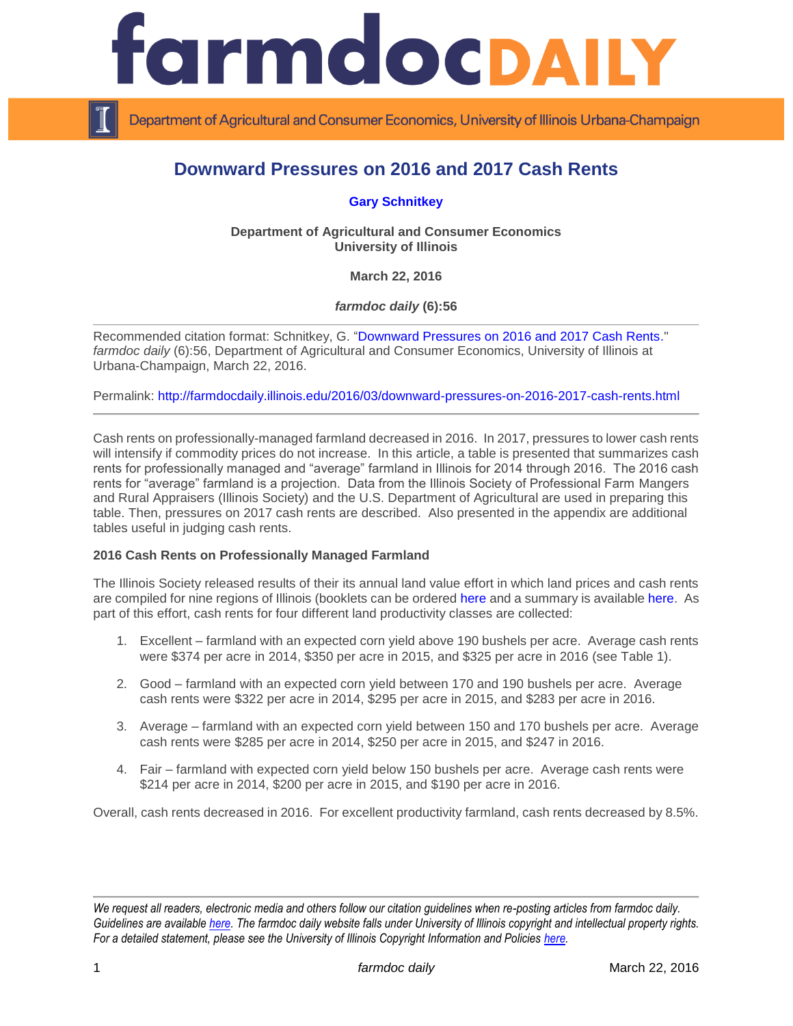

Department of Agricultural and Consumer Economics, University of Illinois Urbana-Champaign

# **Downward Pressures on 2016 and 2017 Cash Rents**

**[Gary Schnitkey](http://farmdoc.illinois.edu/schnitkey)**

**Department of Agricultural and Consumer Economics University of Illinois**

**March 22, 2016**

*farmdoc daily* **(6):56**

Recommended citation format: Schnitkey, G. ["Downward Pressures on 2016 and 2017 Cash Rents.](http://farmdocdaily.illinois.edu/2016/03/downward-pressures-on-2016-2017-cash-rents.html)" *farmdoc daily* (6):56, Department of Agricultural and Consumer Economics, University of Illinois at Urbana-Champaign, March 22, 2016.

Permalink: <http://farmdocdaily.illinois.edu/2016/03/downward-pressures-on-2016-2017-cash-rents.html>

Cash rents on professionally-managed farmland decreased in 2016. In 2017, pressures to lower cash rents will intensify if commodity prices do not increase. In this article, a table is presented that summarizes cash rents for professionally managed and "average" farmland in Illinois for 2014 through 2016. The 2016 cash rents for "average" farmland is a projection. Data from the Illinois Society of Professional Farm Mangers and Rural Appraisers (Illinois Society) and the U.S. Department of Agricultural are used in preparing this table. Then, pressures on 2017 cash rents are described. Also presented in the appendix are additional tables useful in judging cash rents.

# **2016 Cash Rents on Professionally Managed Farmland**

The Illinois Society released results of their its annual land value effort in which land prices and cash rents are compiled for nine regions of Illinois (booklets can be ordered [here](http://www.ispfmra.org/2015/02/25/2015-illinois-farmland-values-report/) and a summary is available [here.](http://www.ispfmra.org/2016/03/17/illinois-farmland-values-rent-trends-continue-downward/) As part of this effort, cash rents for four different land productivity classes are collected:

- 1. Excellent farmland with an expected corn yield above 190 bushels per acre. Average cash rents were \$374 per acre in 2014, \$350 per acre in 2015, and \$325 per acre in 2016 (see Table 1).
- 2. Good farmland with an expected corn yield between 170 and 190 bushels per acre. Average cash rents were \$322 per acre in 2014, \$295 per acre in 2015, and \$283 per acre in 2016.
- 3. Average farmland with an expected corn yield between 150 and 170 bushels per acre. Average cash rents were \$285 per acre in 2014, \$250 per acre in 2015, and \$247 in 2016.
- 4. Fair farmland with expected corn yield below 150 bushels per acre. Average cash rents were \$214 per acre in 2014, \$200 per acre in 2015, and \$190 per acre in 2016.

Overall, cash rents decreased in 2016. For excellent productivity farmland, cash rents decreased by 8.5%.

*We request all readers, electronic media and others follow our citation guidelines when re-posting articles from farmdoc daily. Guidelines are available [here.](http://farmdocdaily.illinois.edu/citationguide.html) The farmdoc daily website falls under University of Illinois copyright and intellectual property rights. For a detailed statement, please see the University of Illinois Copyright Information and Policies [here.](http://www.cio.illinois.edu/policies/copyright/)*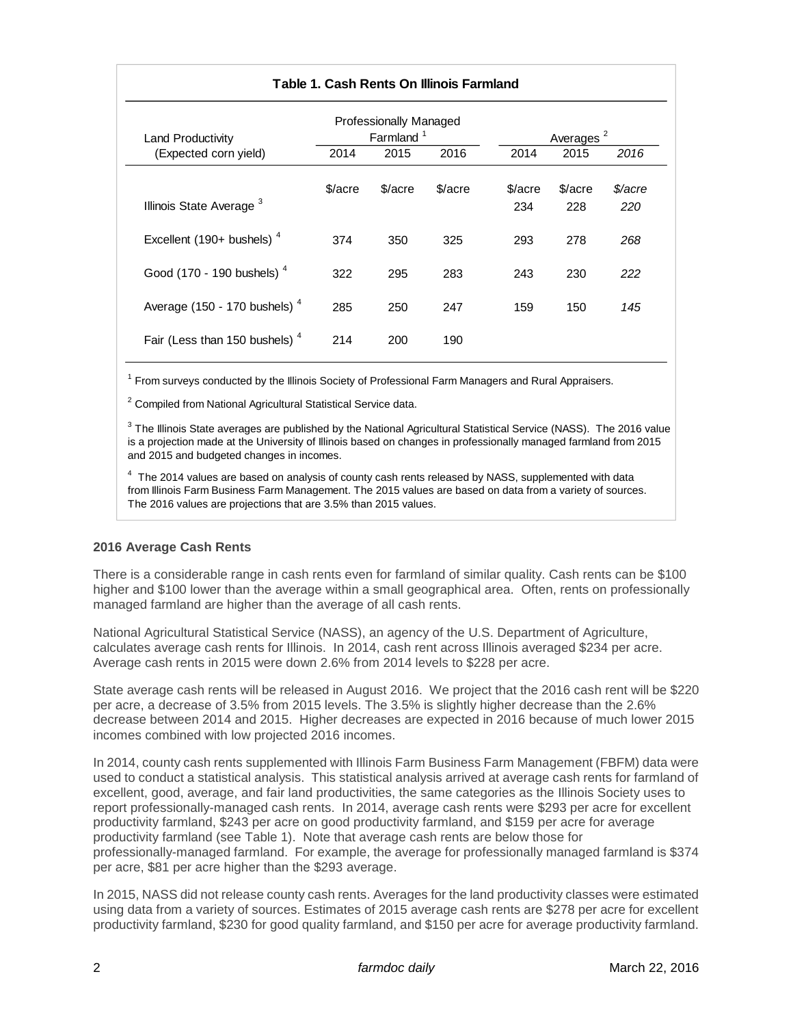| Table 1. Cash Rents On Illinois Farmland  |                                                 |         |         |                |                       |                |  |  |  |
|-------------------------------------------|-------------------------------------------------|---------|---------|----------------|-----------------------|----------------|--|--|--|
| Land Productivity                         | Professionally Managed<br>Farmland <sup>1</sup> |         |         |                | Averages <sup>2</sup> |                |  |  |  |
| (Expected corn yield)                     | 2014                                            | 2015    | 2016    | 2014           | 2015                  | 2016           |  |  |  |
| Illinois State Average <sup>3</sup>       | \$/acre                                         | \$/acre | \$/acre | \$/acre<br>234 | \$/acre<br>228        | \$/acre<br>220 |  |  |  |
| Excellent (190+ bushels) $4$              | 374                                             | 350     | 325     | 293            | 278                   | 268            |  |  |  |
| Good (170 - 190 bushels) <sup>4</sup>     | 322                                             | 295     | 283     | 243            | 230                   | 222            |  |  |  |
| Average (150 - 170 bushels) $4$           | 285                                             | 250     | 247     | 159            | 150                   | 145            |  |  |  |
| Fair (Less than 150 bushels) <sup>4</sup> | 214                                             | 200     | 190     |                |                       |                |  |  |  |

<sup>1</sup> From surveys conducted by the Illinois Society of Professional Farm Managers and Rural Appraisers.

<sup>2</sup> Compiled from National Agricultural Statistical Service data.

 $3$  The Illinois State averages are published by the National Agricultural Statistical Service (NASS). The 2016 value is a projection made at the University of Illinois based on changes in professionally managed farmland from 2015 and 2015 and budgeted changes in incomes.

 $<sup>4</sup>$  The 2014 values are based on analysis of county cash rents released by NASS, supplemented with data</sup> from Illinois Farm Business Farm Management. The 2015 values are based on data from a variety of sources. The 2016 values are projections that are 3.5% than 2015 values.

# **2016 Average Cash Rents**

There is a considerable range in cash rents even for farmland of similar quality. Cash rents can be \$100 higher and \$100 lower than the average within a small geographical area. Often, rents on professionally managed farmland are higher than the average of all cash rents.

National Agricultural Statistical Service (NASS), an agency of the U.S. Department of Agriculture, calculates average cash rents for Illinois. In 2014, cash rent across Illinois averaged \$234 per acre. Average cash rents in 2015 were down 2.6% from 2014 levels to \$228 per acre.

State average cash rents will be released in August 2016. We project that the 2016 cash rent will be \$220 per acre, a decrease of 3.5% from 2015 levels. The 3.5% is slightly higher decrease than the 2.6% decrease between 2014 and 2015. Higher decreases are expected in 2016 because of much lower 2015 incomes combined with low projected 2016 incomes.

In 2014, county cash rents supplemented with Illinois Farm Business Farm Management (FBFM) data were used to conduct a statistical analysis. This statistical analysis arrived at average cash rents for farmland of excellent, good, average, and fair land productivities, the same categories as the Illinois Society uses to report professionally-managed cash rents. In 2014, average cash rents were \$293 per acre for excellent productivity farmland, \$243 per acre on good productivity farmland, and \$159 per acre for average productivity farmland (see Table 1). Note that average cash rents are below those for professionally-managed farmland. For example, the average for professionally managed farmland is \$374 per acre, \$81 per acre higher than the \$293 average.

In 2015, NASS did not release county cash rents. Averages for the land productivity classes were estimated using data from a variety of sources. Estimates of 2015 average cash rents are \$278 per acre for excellent productivity farmland, \$230 for good quality farmland, and \$150 per acre for average productivity farmland.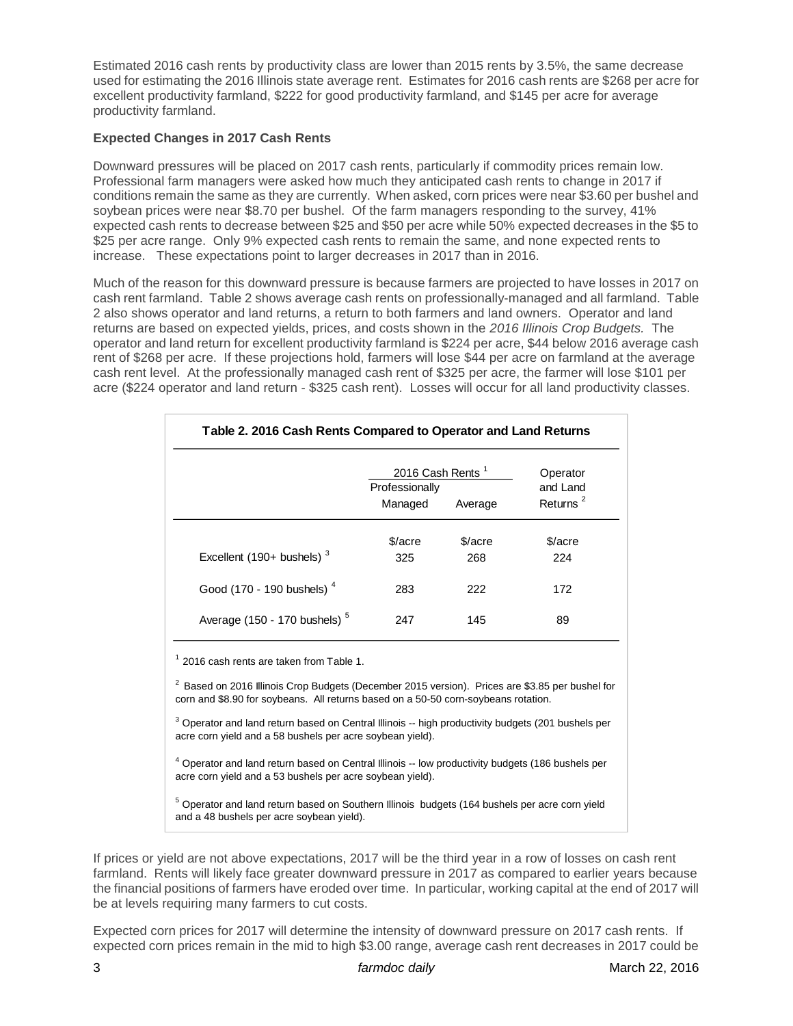Estimated 2016 cash rents by productivity class are lower than 2015 rents by 3.5%, the same decrease used for estimating the 2016 Illinois state average rent. Estimates for 2016 cash rents are \$268 per acre for excellent productivity farmland, \$222 for good productivity farmland, and \$145 per acre for average productivity farmland.

# **Expected Changes in 2017 Cash Rents**

Downward pressures will be placed on 2017 cash rents, particularly if commodity prices remain low. Professional farm managers were asked how much they anticipated cash rents to change in 2017 if conditions remain the same as they are currently. When asked, corn prices were near \$3.60 per bushel and soybean prices were near \$8.70 per bushel. Of the farm managers responding to the survey, 41% expected cash rents to decrease between \$25 and \$50 per acre while 50% expected decreases in the \$5 to \$25 per acre range. Only 9% expected cash rents to remain the same, and none expected rents to increase. These expectations point to larger decreases in 2017 than in 2016.

Much of the reason for this downward pressure is because farmers are projected to have losses in 2017 on cash rent farmland. Table 2 shows average cash rents on professionally-managed and all farmland. Table 2 also shows operator and land returns, a return to both farmers and land owners. Operator and land returns are based on expected yields, prices, and costs shown in the *2016 Illinois Crop Budgets.* The operator and land return for excellent productivity farmland is \$224 per acre, \$44 below 2016 average cash rent of \$268 per acre. If these projections hold, farmers will lose \$44 per acre on farmland at the average cash rent level. At the professionally managed cash rent of \$325 per acre, the farmer will lose \$101 per acre (\$224 operator and land return - \$325 cash rent). Losses will occur for all land productivity classes.

|                                                                                                                                                                                                                                                                                                                                                                                                                                                                                                                   | 2016 Cash Rents <sup>1</sup> |         | Operator                         |  |
|-------------------------------------------------------------------------------------------------------------------------------------------------------------------------------------------------------------------------------------------------------------------------------------------------------------------------------------------------------------------------------------------------------------------------------------------------------------------------------------------------------------------|------------------------------|---------|----------------------------------|--|
|                                                                                                                                                                                                                                                                                                                                                                                                                                                                                                                   | Professionally<br>Managed    | Average | and Land<br>Returns <sup>2</sup> |  |
|                                                                                                                                                                                                                                                                                                                                                                                                                                                                                                                   | \$/acre                      | \$/acre | \$/acre                          |  |
| Excellent (190+ bushels) $3$                                                                                                                                                                                                                                                                                                                                                                                                                                                                                      | 325                          | 268     | 224                              |  |
| Good (170 - 190 bushels) <sup>4</sup>                                                                                                                                                                                                                                                                                                                                                                                                                                                                             | 283                          | 222     | 172                              |  |
| Average (150 - 170 bushels) <sup>5</sup>                                                                                                                                                                                                                                                                                                                                                                                                                                                                          | 247                          | 145     | 89                               |  |
| <sup>3</sup> Operator and land return based on Central Illinois -- high productivity budgets (201 bushels per<br>acre corn yield and a 58 bushels per acre soybean yield).<br><sup>4</sup> Operator and land return based on Central Illinois -- low productivity budgets (186 bushels per<br>acre corn yield and a 53 bushels per acre soybean yield).<br><sup>5</sup> Operator and land return based on Southern Illinois budgets (164 bushels per acre corn yield<br>and a 48 bushels per acre soybean yield). |                              |         |                                  |  |
| If prices or yield are not above expectations, 2017 will be the third year in a row of losses on cash rent<br>farmland. Rents will likely face greater downward pressure in 2017 as compared to earlier years because<br>the financial positions of farmers have eroded over time. In particular, working capital at the end of 2017 will                                                                                                                                                                         |                              |         |                                  |  |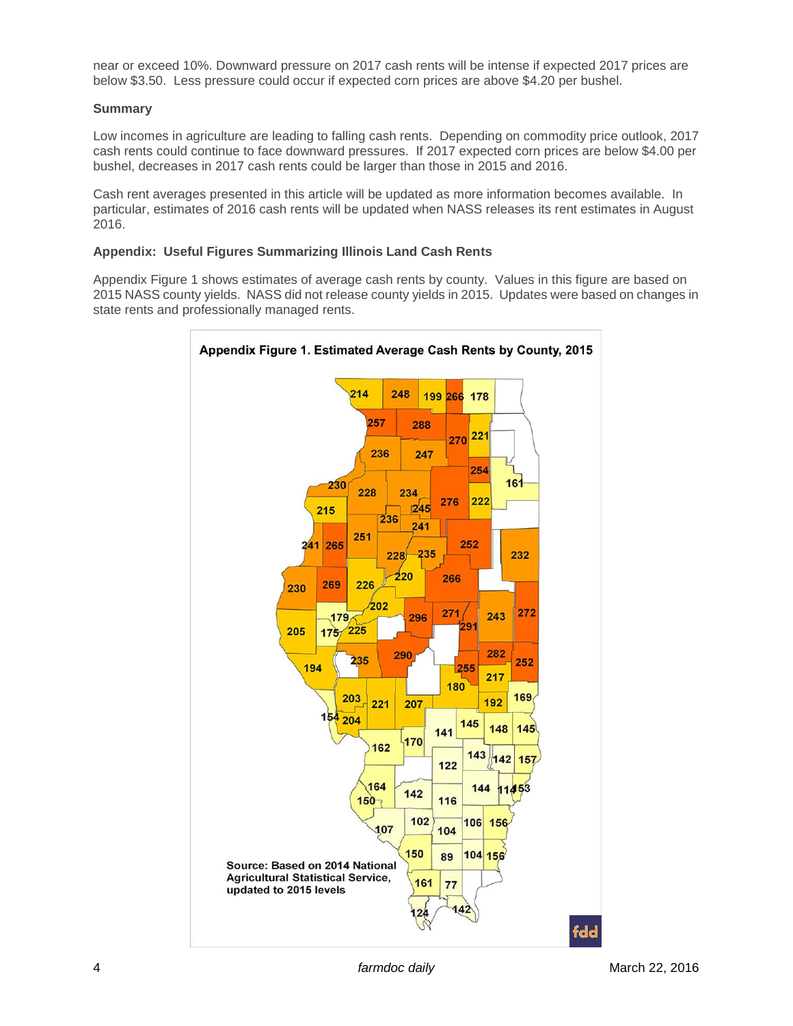near or exceed 10%. Downward pressure on 2017 cash rents will be intense if expected 2017 prices are below \$3.50. Less pressure could occur if expected corn prices are above \$4.20 per bushel.

#### **Summary**

Low incomes in agriculture are leading to falling cash rents. Depending on commodity price outlook, 2017 cash rents could continue to face downward pressures. If 2017 expected corn prices are below \$4.00 per bushel, decreases in 2017 cash rents could be larger than those in 2015 and 2016.

Cash rent averages presented in this article will be updated as more information becomes available. In particular, estimates of 2016 cash rents will be updated when NASS releases its rent estimates in August 2016.

#### **Appendix: Useful Figures Summarizing Illinois Land Cash Rents**

Appendix Figure 1 shows estimates of average cash rents by county. Values in this figure are based on 2015 NASS county yields. NASS did not release county yields in 2015. Updates were based on changes in state rents and professionally managed rents.